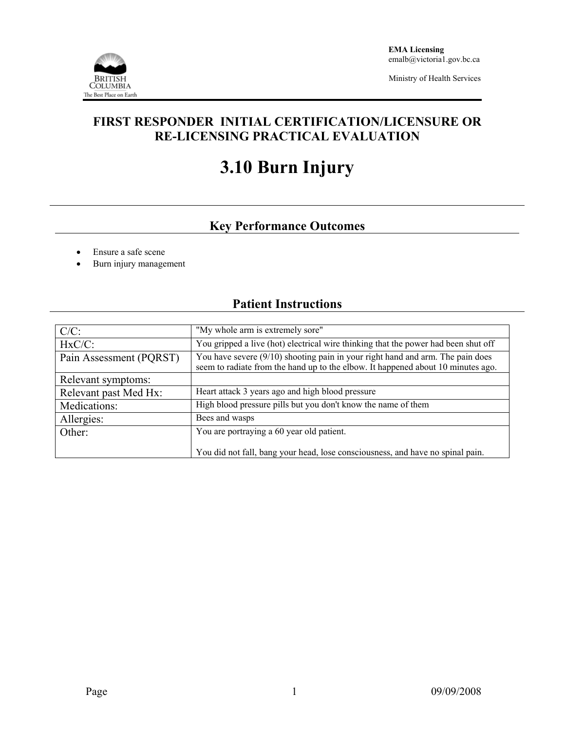

Ministry of Health Services

## **FIRST RESPONDER INITIAL CERTIFICATION/LICENSURE OR RE-LICENSING PRACTICAL EVALUATION**

# **3.10 Burn Injury**

# **Key Performance Outcomes**

- Ensure a safe scene
- Burn injury management

## **Patient Instructions**

| $C/C$ :                 | "My whole arm is extremely sore"                                                                                                                                   |  |  |
|-------------------------|--------------------------------------------------------------------------------------------------------------------------------------------------------------------|--|--|
| $HxC/C$ :               | You gripped a live (hot) electrical wire thinking that the power had been shut off                                                                                 |  |  |
| Pain Assessment (PQRST) | You have severe (9/10) shooting pain in your right hand and arm. The pain does<br>seem to radiate from the hand up to the elbow. It happened about 10 minutes ago. |  |  |
| Relevant symptoms:      |                                                                                                                                                                    |  |  |
| Relevant past Med Hx:   | Heart attack 3 years ago and high blood pressure                                                                                                                   |  |  |
| Medications:            | High blood pressure pills but you don't know the name of them                                                                                                      |  |  |
| Allergies:              | Bees and wasps                                                                                                                                                     |  |  |
| Other:                  | You are portraying a 60 year old patient.                                                                                                                          |  |  |
|                         | You did not fall, bang your head, lose consciousness, and have no spinal pain.                                                                                     |  |  |